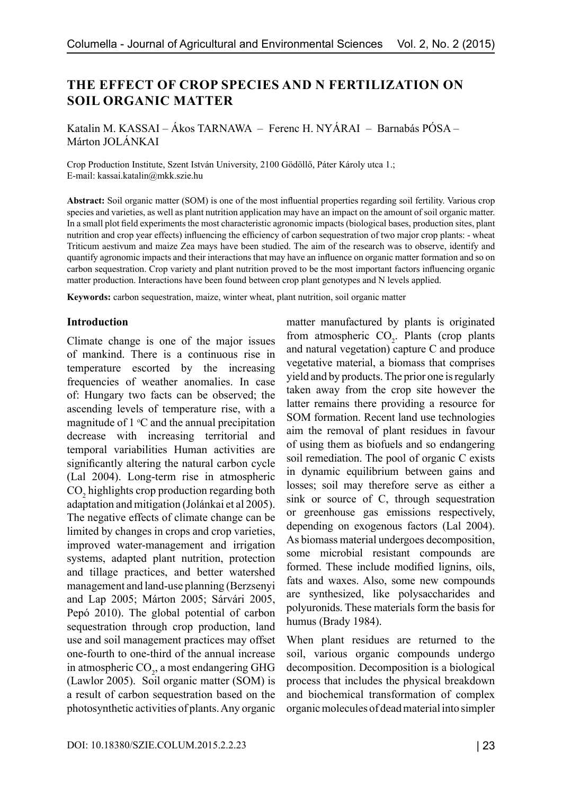# **THE EFFECT OF CROP SPECIES AND N FERTILIZATION ON SOIL ORGANIC MATTER**

Katalin M. KASSAI – Ákos TARNAWA – Ferenc H. NYÁRAI – Barnabás PÓSA – Márton JOLÁNKAI

Crop Production Institute, Szent István University, 2100 Gödöllő, Páter Károly utca 1.; E-mail: kassai.katalin@mkk.szie.hu

**Abstract:** Soil organic matter (SOM) is one of the most influential properties regarding soil fertility. Various crop species and varieties, as well as plant nutrition application may have an impact on the amount of soil organic matter. In a small plot field experiments the most characteristic agronomic impacts (biological bases, production sites, plant nutrition and crop year effects) influencing the efficiency of carbon sequestration of two major crop plants: - wheat Triticum aestivum and maize Zea mays have been studied. The aim of the research was to observe, identify and quantify agronomic impacts and their interactions that may have an influence on organic matter formation and so on carbon sequestration. Crop variety and plant nutrition proved to be the most important factors influencing organic matter production. Interactions have been found between crop plant genotypes and N levels applied.

**Keywords:** carbon sequestration, maize, winter wheat, plant nutrition, soil organic matter

#### **Introduction**

Climate change is one of the major issues of mankind. There is a continuous rise in temperature escorted by the increasing frequencies of weather anomalies. In case of: Hungary two facts can be observed; the ascending levels of temperature rise, with a magnitude of  $1 \,^{\circ}\text{C}$  and the annual precipitation decrease with increasing territorial and temporal variabilities Human activities are significantly altering the natural carbon cycle (Lal 2004). Long-term rise in atmospheric  $CO<sub>2</sub>$  highlights crop production regarding both adaptation and mitigation (Jolánkai et al 2005). The negative effects of climate change can be limited by changes in crops and crop varieties, improved water-management and irrigation systems, adapted plant nutrition, protection and tillage practices, and better watershed management and land-use planning (Berzsenyi and Lap 2005; Márton 2005; Sárvári 2005, Pepó 2010). The global potential of carbon sequestration through crop production, land use and soil management practices may offset one-fourth to one-third of the annual increase in atmospheric  $CO<sub>2</sub>$ , a most endangering GHG (Lawlor 2005). Soil organic matter (SOM) is a result of carbon sequestration based on the photosynthetic activities of plants. Any organic

from atmospheric  $CO<sub>2</sub>$ . Plants (crop plants and natural vegetation) capture C and produce vegetative material, a biomass that comprises yield and by products. The prior one is regularly taken away from the crop site however the latter remains there providing a resource for SOM formation. Recent land use technologies aim the removal of plant residues in favour of using them as biofuels and so endangering soil remediation. The pool of organic C exists in dynamic equilibrium between gains and losses; soil may therefore serve as either a sink or source of C, through sequestration or greenhouse gas emissions respectively, depending on exogenous factors (Lal 2004). As biomass material undergoes decomposition, some microbial resistant compounds are formed. These include modified lignins, oils, fats and waxes. Also, some new compounds are synthesized, like polysaccharides and polyuronids. These materials form the basis for humus (Brady 1984). When plant residues are returned to the soil, various organic compounds undergo

matter manufactured by plants is originated

decomposition. Decomposition is a biological process that includes the physical breakdown and biochemical transformation of complex organic molecules of dead material into simpler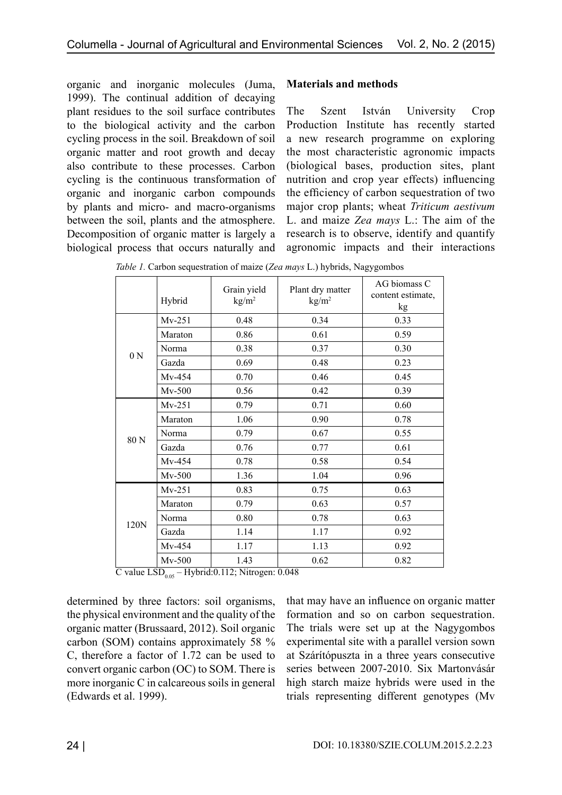organic and inorganic molecules (Juma, 1999). The continual addition of decaying plant residues to the soil surface contributes to the biological activity and the carbon cycling process in the soil. Breakdown of soil organic matter and root growth and decay also contribute to these processes. Carbon cycling is the continuous transformation of organic and inorganic carbon compounds by plants and micro- and macro-organisms between the soil, plants and the atmosphere. Decomposition of organic matter is largely a biological process that occurs naturally and

## **Materials and methods**

The Szent István University Crop Production Institute has recently started a new research programme on exploring the most characteristic agronomic impacts (biological bases, production sites, plant nutrition and crop year effects) influencing the efficiency of carbon sequestration of two major crop plants; wheat *Triticum aestivum* L. and maize *Zea mays* L.: The aim of the research is to observe, identify and quantify agronomic impacts and their interactions

|                | Hybrid   | Grain yield<br>kg/m <sup>2</sup> | Plant dry matter<br>kg/m <sup>2</sup> | AG biomass C<br>content estimate,<br>kg |
|----------------|----------|----------------------------------|---------------------------------------|-----------------------------------------|
| 0 <sub>N</sub> | $Mv-251$ | 0.48                             | 0.34                                  | 0.33                                    |
|                | Maraton  | 0.86                             | 0.61                                  | 0.59                                    |
|                | Norma    | 0.38                             | 0.37                                  | 0.30                                    |
|                | Gazda    | 0.69                             | 0.48                                  | 0.23                                    |
|                | $Mv-454$ | 0.70                             | 0.46                                  | 0.45                                    |
|                | $Mv-500$ | 0.56                             | 0.42                                  | 0.39                                    |
| 80N            | $Mv-251$ | 0.79                             | 0.71                                  | 0.60                                    |
|                | Maraton  | 1.06                             | 0.90                                  | 0.78                                    |
|                | Norma    | 0.79                             | 0.67                                  | 0.55                                    |
|                | Gazda    | 0.76                             | 0.77                                  | 0.61                                    |
|                | $Mv-454$ | 0.78                             | 0.58                                  | 0.54                                    |
|                | $Mv-500$ | 1.36                             | 1.04                                  | 0.96                                    |
| 120N           | $Mv-251$ | 0.83                             | 0.75                                  | 0.63                                    |
|                | Maraton  | 0.79                             | 0.63                                  | 0.57                                    |
|                | Norma    | 0.80                             | 0.78                                  | 0.63                                    |
|                | Gazda    | 1.14                             | 1.17                                  | 0.92                                    |
|                | Mv-454   | 1.17                             | 1.13                                  | 0.92                                    |
|                | $Mv-500$ | 1.43                             | 0.62                                  | 0.82                                    |

*Table 1.* Carbon sequestration of maize (*Zea mays* L.) hybrids, Nagygombos

 $\overline{C}$  value LSD<sub>0.05</sub> – Hybrid:0.112; Nitrogen: 0.048

determined by three factors: soil organisms, the physical environment and the quality of the organic matter (Brussaard, 2012). Soil organic carbon (SOM) contains approximately 58 % C, therefore a factor of 1.72 can be used to convert organic carbon (OC) to SOM. There is more inorganic C in calcareous soils in general (Edwards et al. 1999).

that may have an influence on organic matter formation and so on carbon sequestration. The trials were set up at the Nagygombos experimental site with a parallel version sown at Szárítópuszta in a three years consecutive series between 2007-2010. Six Martonvásár high starch maize hybrids were used in the trials representing different genotypes (Mv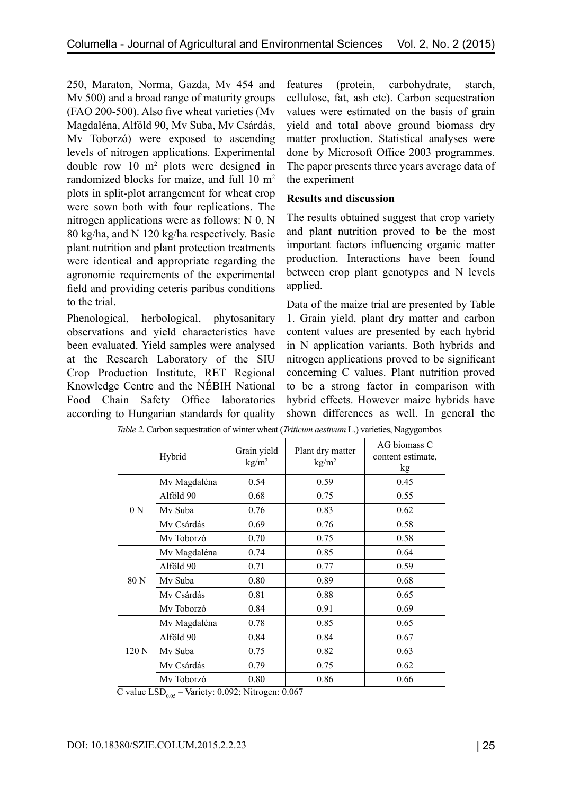250, Maraton, Norma, Gazda, Mv 454 and Mv 500) and a broad range of maturity groups (FAO 200-500). Also five wheat varieties (Mv Magdaléna, Alföld 90, Mv Suba, Mv Csárdás, Mv Toborzó) were exposed to ascending levels of nitrogen applications. Experimental double row 10 m<sup>2</sup> plots were designed in randomized blocks for maize, and full 10 m<sup>2</sup> plots in split-plot arrangement for wheat crop were sown both with four replications. The nitrogen applications were as follows: N 0, N 80 kg/ha, and N 120 kg/ha respectively. Basic plant nutrition and plant protection treatments were identical and appropriate regarding the agronomic requirements of the experimental field and providing ceteris paribus conditions to the trial.

Phenological, herbological, phytosanitary observations and yield characteristics have been evaluated. Yield samples were analysed at the Research Laboratory of the SIU Crop Production Institute, RET Regional Knowledge Centre and the NÉBIH National Food Chain Safety Office laboratories according to Hungarian standards for quality features (protein, carbohydrate, starch, cellulose, fat, ash etc). Carbon sequestration values were estimated on the basis of grain yield and total above ground biomass dry matter production. Statistical analyses were done by Microsoft Office 2003 programmes. The paper presents three years average data of the experiment

## **Results and discussion**

The results obtained suggest that crop variety and plant nutrition proved to be the most important factors influencing organic matter production. Interactions have been found between crop plant genotypes and N levels applied.

Data of the maize trial are presented by Table 1. Grain yield, plant dry matter and carbon content values are presented by each hybrid in N application variants. Both hybrids and nitrogen applications proved to be significant concerning C values. Plant nutrition proved to be a strong factor in comparison with hybrid effects. However maize hybrids have shown differences as well. In general the

|                | Hybrid       | Grain yield<br>kg/m <sup>2</sup> | Plant dry matter<br>kg/m <sup>2</sup> | AG biomass C<br>content estimate,<br>kg |
|----------------|--------------|----------------------------------|---------------------------------------|-----------------------------------------|
| 0 <sub>N</sub> | Mv Magdaléna | 0.54                             | 0.59                                  | 0.45                                    |
|                | Alföld 90    | 0.68                             | 0.75                                  | 0.55                                    |
|                | Mv Suba      | 0.76                             | 0.83                                  | 0.62                                    |
|                | Mv Csárdás   | 0.69                             | 0.76                                  | 0.58                                    |
|                | My Toborzó   | 0.70                             | 0.75                                  | 0.58                                    |
| 80 N           | Mv Magdaléna | 0.74                             | 0.85                                  | 0.64                                    |
|                | Alföld 90    | 0.71                             | 0.77                                  | 0.59                                    |
|                | My Suba      | 0.80                             | 0.89                                  | 0.68                                    |
|                | Mv Csárdás   | 0.81                             | 0.88                                  | 0.65                                    |
|                | My Toborzó   | 0.84                             | 0.91                                  | 0.69                                    |
| 120 N          | Mv Magdaléna | 0.78                             | 0.85                                  | 0.65                                    |
|                | Alföld 90    | 0.84                             | 0.84                                  | 0.67                                    |
|                | My Suba      | 0.75                             | 0.82                                  | 0.63                                    |
|                | Mv Csárdás   | 0.79                             | 0.75                                  | 0.62                                    |
|                | My Toborzó   | 0.80                             | 0.86                                  | 0.66                                    |

*Table 2.* Carbon sequestration of winter wheat (*Triticum aestivum* L.) varieties, Nagygombos

C value  $LSD<sub>0.05</sub> - \text{Variety: } 0.092$ ; Nitrogen: 0.067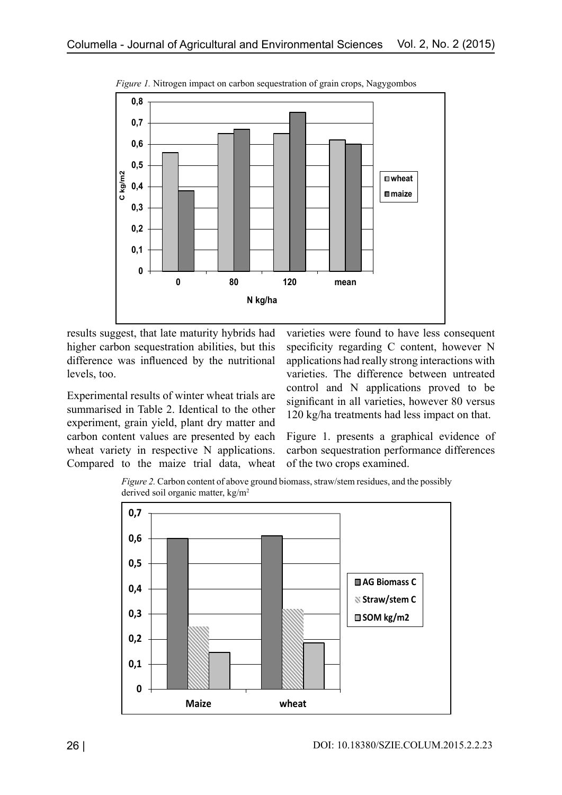

*Figure 1.* Nitrogen impact on carbon sequestration of grain crops, Nagygombos

results suggest, that late maturity hybrids had higher carbon sequestration abilities, but this difference was influenced by the nutritional levels, too.

Experimental results of winter wheat trials are summarised in Table 2. Identical to the other experiment, grain yield, plant dry matter and carbon content values are presented by each wheat variety in respective N applications. Compared to the maize trial data, wheat varieties were found to have less consequent specificity regarding C content, however N applications had really strong interactions with varieties. The difference between untreated control and N applications proved to be significant in all varieties, however 80 versus 120 kg/ha treatments had less impact on that.

Figure 1. presents a graphical evidence of carbon sequestration performance differences of the two crops examined.

*Figure 2.* Carbon content of above ground biomass, straw/stem residues, and the possibly derived soil organic matter, kg/m2